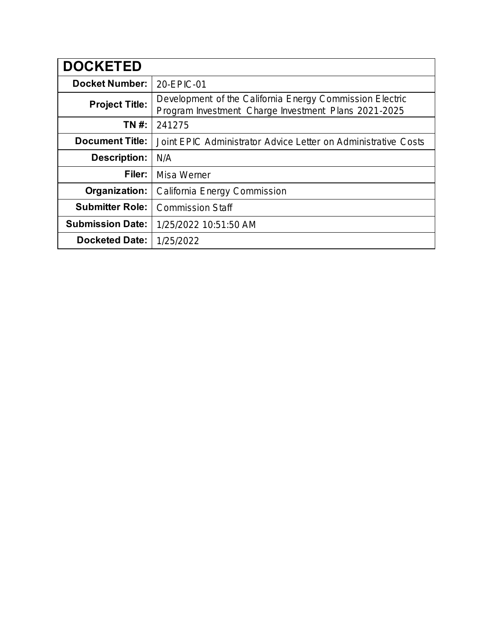| <b>DOCKETED</b>         |                                                                                                                  |
|-------------------------|------------------------------------------------------------------------------------------------------------------|
| <b>Docket Number:</b>   | 20-EPIC-01                                                                                                       |
| <b>Project Title:</b>   | Development of the California Energy Commission Electric<br>Program Investment Charge Investment Plans 2021-2025 |
| TN #:                   | 241275                                                                                                           |
| <b>Document Title:</b>  | Joint EPIC Administrator Advice Letter on Administrative Costs                                                   |
| <b>Description:</b>     | N/A                                                                                                              |
| Filer:                  | <b>Misa Werner</b>                                                                                               |
| Organization:           | California Energy Commission                                                                                     |
| <b>Submitter Role:</b>  | <b>Commission Staff</b>                                                                                          |
| <b>Submission Date:</b> | 1/25/2022 10:51:50 AM                                                                                            |
| <b>Docketed Date:</b>   | 1/25/2022                                                                                                        |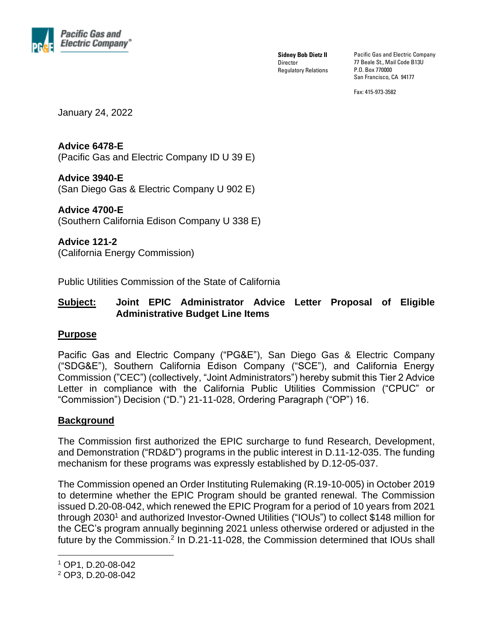

**Sidney Bob Dietz II Director** Regulatory Relations Pacific Gas and Electric Company 77 Beale St., Mail Code B13U P.O. Box 770000 San Francisco, CA 94177

Fax: 415-973-3582

January 24, 2022

# **Advice 6478-E**

(Pacific Gas and Electric Company ID U 39 E)

#### **Advice 3940-E**

(San Diego Gas & Electric Company U 902 E)

#### **Advice 4700-E** (Southern California Edison Company U 338 E)

**Advice 121-2** (California Energy Commission)

Public Utilities Commission of the State of California

## **Subject: Joint EPIC Administrator Advice Letter Proposal of Eligible Administrative Budget Line Items**

#### **Purpose**

Pacific Gas and Electric Company ("PG&E"), San Diego Gas & Electric Company ("SDG&E"), Southern California Edison Company ("SCE"), and California Energy Commission ("CEC") (collectively, "Joint Administrators") hereby submit this Tier 2 Advice Letter in compliance with the California Public Utilities Commission ("CPUC" or "Commission") Decision ("D.") 21-11-028, Ordering Paragraph ("OP") 16.

# **Background**

The Commission first authorized the EPIC surcharge to fund Research, Development, and Demonstration ("RD&D") programs in the public interest in D.11-12-035. The funding mechanism for these programs was expressly established by D.12-05-037.

The Commission opened an Order Instituting Rulemaking (R.19-10-005) in October 2019 to determine whether the EPIC Program should be granted renewal. The Commission issued D.20-08-042, which renewed the EPIC Program for a period of 10 years from 2021 through 2030 <sup>1</sup> and authorized Investor-Owned Utilities ("IOUs") to collect \$148 million for the CEC's program annually beginning 2021 unless otherwise ordered or adjusted in the future by the Commission.<sup>2</sup> In D.21-11-028, the Commission determined that IOUs shall

<sup>1</sup> OP1, D.20-08-042

<sup>2</sup> OP3, D.20-08-042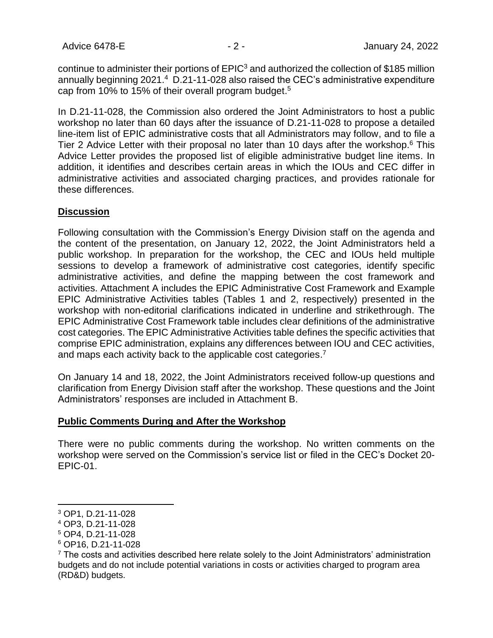continue to administer their portions of EPIC<sup>3</sup> and authorized the collection of \$185 million annually beginning 2021.<sup>4</sup> D.21-11-028 also raised the CEC's administrative expenditure cap from 10% to 15% of their overall program budget. 5

In D.21-11-028, the Commission also ordered the Joint Administrators to host a public workshop no later than 60 days after the issuance of D.21-11-028 to propose a detailed line-item list of EPIC administrative costs that all Administrators may follow, and to file a Tier 2 Advice Letter with their proposal no later than 10 days after the workshop.<sup>6</sup> This Advice Letter provides the proposed list of eligible administrative budget line items. In addition, it identifies and describes certain areas in which the IOUs and CEC differ in administrative activities and associated charging practices, and provides rationale for these differences.

#### **Discussion**

Following consultation with the Commission's Energy Division staff on the agenda and the content of the presentation, on January 12, 2022, the Joint Administrators held a public workshop. In preparation for the workshop, the CEC and IOUs held multiple sessions to develop a framework of administrative cost categories, identify specific administrative activities, and define the mapping between the cost framework and activities. Attachment A includes the EPIC Administrative Cost Framework and Example EPIC Administrative Activities tables (Tables 1 and 2, respectively) presented in the workshop with non-editorial clarifications indicated in underline and strikethrough. The EPIC Administrative Cost Framework table includes clear definitions of the administrative cost categories. The EPIC Administrative Activities table defines the specific activities that comprise EPIC administration, explains any differences between IOU and CEC activities, and maps each activity back to the applicable cost categories.<sup>7</sup>

On January 14 and 18, 2022, the Joint Administrators received follow-up questions and clarification from Energy Division staff after the workshop. These questions and the Joint Administrators' responses are included in Attachment B.

#### **Public Comments During and After the Workshop**

There were no public comments during the workshop. No written comments on the workshop were served on the Commission's service list or filed in the CEC's Docket 20- EPIC-01.

<sup>3</sup> OP1, D.21-11-028

<sup>4</sup> OP3, D.21-11-028

<sup>5</sup> OP4, D.21-11-028

<sup>6</sup> OP16, D.21-11-028

 $7$  The costs and activities described here relate solely to the Joint Administrators' administration budgets and do not include potential variations in costs or activities charged to program area (RD&D) budgets.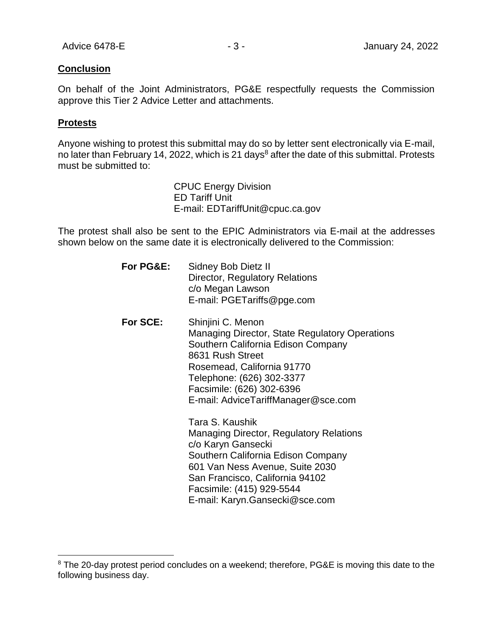#### **Conclusion**

On behalf of the Joint Administrators, PG&E respectfully requests the Commission approve this Tier 2 Advice Letter and attachments.

#### **Protests**

Anyone wishing to protest this submittal may do so by letter sent electronically via E-mail, no later than February 14, 2022, which is 21 days<sup>8</sup> after the date of this submittal. Protests must be submitted to:

> CPUC Energy Division ED Tariff Unit E-mail: EDTariffUnit@cpuc.ca.gov

The protest shall also be sent to the EPIC Administrators via E-mail at the addresses shown below on the same date it is electronically delivered to the Commission:

| For PG&E: | Sidney Bob Dietz II<br>Director, Regulatory Relations<br>c/o Megan Lawson<br>E-mail: PGETariffs@pge.com                                                                                                                                                                                                                                                                                                                          |
|-----------|----------------------------------------------------------------------------------------------------------------------------------------------------------------------------------------------------------------------------------------------------------------------------------------------------------------------------------------------------------------------------------------------------------------------------------|
| For SCE:  | Shinjini C. Menon<br><b>Managing Director, State Regulatory Operations</b><br>Southern California Edison Company<br>8631 Rush Street<br>Rosemead, California 91770<br>Telephone: (626) 302-3377<br>Facsimile: (626) 302-6396<br>E-mail: AdviceTariffManager@sce.com<br>Tara S. Kaushik<br>Managing Director, Regulatory Relations<br>c/o Karyn Gansecki<br>Southern California Edison Company<br>601 Van Ness Avenue, Suite 2030 |
|           | San Francisco, California 94102<br>Facsimile: (415) 929-5544                                                                                                                                                                                                                                                                                                                                                                     |

E-mail: [Karyn.Gansecki@sce.com](mailto:Karyn.Gansecki@sce.com)

<sup>&</sup>lt;sup>8</sup> The 20-day protest period concludes on a weekend; therefore, PG&E is moving this date to the following business day.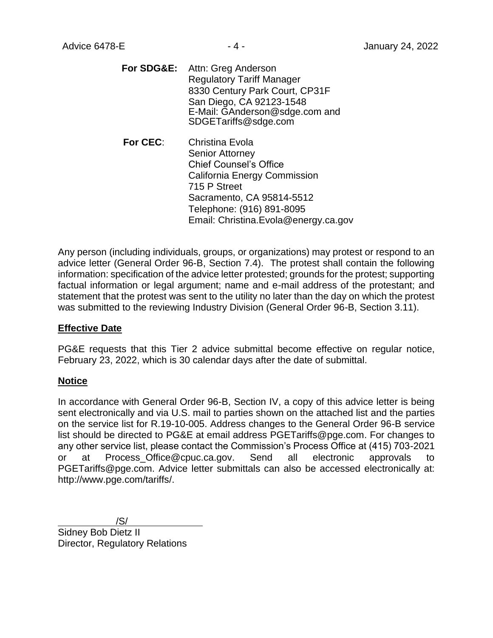**For SDG&E:** Attn: Greg Anderson Regulatory Tariff Manager 8330 Century Park Court, CP31F San Diego, CA 92123-1548 E-Mail: [GAnderson@sdge.com](mailto:GAnderson@sdge.com) and [SDGETariffs@sdge.com](mailto:SDGETariffs@sdge.com)

**For CEC**: Christina Evola Senior Attorney Chief Counsel's Office California Energy Commission 715 P Street Sacramento, CA 95814-5512 Telephone: (916) 891-8095 Email: Christina.Evola@energy.ca.gov

Any person (including individuals, groups, or organizations) may protest or respond to an advice letter (General Order 96-B, Section 7.4). The protest shall contain the following information: specification of the advice letter protested; grounds for the protest; supporting factual information or legal argument; name and e-mail address of the protestant; and statement that the protest was sent to the utility no later than the day on which the protest was submitted to the reviewing Industry Division (General Order 96-B, Section 3.11).

#### **Effective Date**

PG&E requests that this Tier 2 advice submittal become effective on regular notice, February 23, 2022, which is 30 calendar days after the date of submittal.

#### **Notice**

In accordance with General Order 96-B, Section IV, a copy of this advice letter is being sent electronically and via U.S. mail to parties shown on the attached list and the parties on the service list for R.19-10-005. Address changes to the General Order 96-B service list should be directed to PG&E at email address PGETariffs@pge.com. For changes to any other service list, please contact the Commission's Process Office at (415) 703-2021 or at Process Office@cpuc.ca.gov. Send all electronic approvals to PGETariffs@pge.com. Advice letter submittals can also be accessed electronically at: http://www.pge.com/tariffs/.

/S/ Sidney Bob Dietz II Director, Regulatory Relations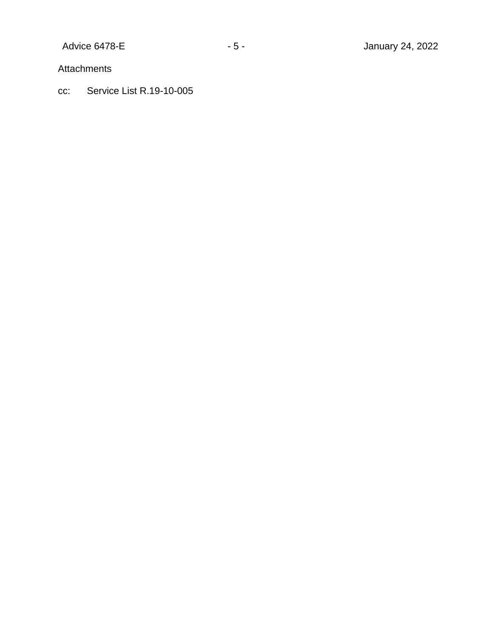Attachments

cc: Service List R.19-10-005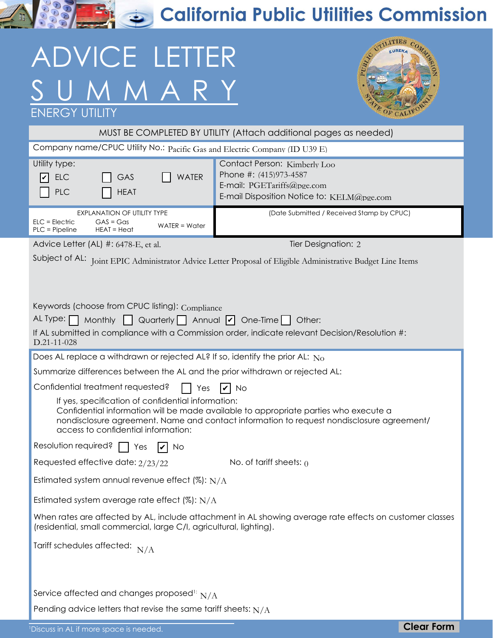**RASH & California Public Utilities Commission** 

# ADVICE LETTER UMMARY



| <b>ENERGY UTILITY</b>                                                                                                                                                                                                                                                                                                                                                |                                                                                                                                    | <b>COF CALIFO</b> |  |  |  |  |  |
|----------------------------------------------------------------------------------------------------------------------------------------------------------------------------------------------------------------------------------------------------------------------------------------------------------------------------------------------------------------------|------------------------------------------------------------------------------------------------------------------------------------|-------------------|--|--|--|--|--|
| MUST BE COMPLETED BY UTILITY (Attach additional pages as needed)                                                                                                                                                                                                                                                                                                     |                                                                                                                                    |                   |  |  |  |  |  |
| Company name/CPUC Utility No.: Pacific Gas and Electric Company (ID U39 E)                                                                                                                                                                                                                                                                                           |                                                                                                                                    |                   |  |  |  |  |  |
| Utility type:<br><b>WATER</b><br><b>ELC</b><br>GAS<br>lv<br><b>PLC</b><br><b>HEAT</b>                                                                                                                                                                                                                                                                                | Contact Person: Kimberly Loo<br>Phone #: (415)973-4587<br>E-mail: PGETariffs@pge.com<br>E-mail Disposition Notice to: KELM@pge.com |                   |  |  |  |  |  |
| EXPLANATION OF UTILITY TYPE<br>$ELC = Electric$<br>$GAS = Gas$<br>$WATER = Water$<br>$PLC = Pipeline$<br>$HEAT = Heat$                                                                                                                                                                                                                                               | (Date Submitted / Received Stamp by CPUC)                                                                                          |                   |  |  |  |  |  |
| Advice Letter (AL) #: 6478-E, et al.                                                                                                                                                                                                                                                                                                                                 | Tier Designation: 2                                                                                                                |                   |  |  |  |  |  |
| Subject of AL: Joint EPIC Administrator Advice Letter Proposal of Eligible Administrative Budget Line Items<br>Keywords (choose from CPUC listing): Compliance<br>AL Type:<br>Monthly $\Box$ Quarterly $\Box$ Annual $\Box$ One-Time $\Box$ Other:<br>If AL submitted in compliance with a Commission order, indicate relevant Decision/Resolution #:<br>D.21-11-028 |                                                                                                                                    |                   |  |  |  |  |  |
| Does AL replace a withdrawn or rejected AL? If so, identify the prior AL: $N_0$                                                                                                                                                                                                                                                                                      |                                                                                                                                    |                   |  |  |  |  |  |
| Summarize differences between the AL and the prior withdrawn or rejected AL:                                                                                                                                                                                                                                                                                         |                                                                                                                                    |                   |  |  |  |  |  |
| Confidential treatment requested?<br>Yes<br>V<br>  No                                                                                                                                                                                                                                                                                                                |                                                                                                                                    |                   |  |  |  |  |  |
| If yes, specification of confidential information:<br>Confidential information will be made available to appropriate parties who execute a<br>nondisclosure agreement. Name and contact information to request nondisclosure agreement/<br>access to confidential information:                                                                                       |                                                                                                                                    |                   |  |  |  |  |  |
| Resolution required?<br>Yes<br>No                                                                                                                                                                                                                                                                                                                                    |                                                                                                                                    |                   |  |  |  |  |  |
| Requested effective date: 2/23/22<br>No. of tariff sheets: $\theta$                                                                                                                                                                                                                                                                                                  |                                                                                                                                    |                   |  |  |  |  |  |
| Estimated system annual revenue effect (%): $N/A$                                                                                                                                                                                                                                                                                                                    |                                                                                                                                    |                   |  |  |  |  |  |
| Estimated system average rate effect $(\%)$ : N/A                                                                                                                                                                                                                                                                                                                    |                                                                                                                                    |                   |  |  |  |  |  |
| When rates are affected by AL, include attachment in AL showing average rate effects on customer classes<br>(residential, small commercial, large C/I, agricultural, lighting).                                                                                                                                                                                      |                                                                                                                                    |                   |  |  |  |  |  |
| Tariff schedules affected: $N/A$                                                                                                                                                                                                                                                                                                                                     |                                                                                                                                    |                   |  |  |  |  |  |
| Service affected and changes proposed <sup>1:</sup> $N/A$<br>Pending advice letters that revise the same tariff sheets: $N/A$<br><sup>1</sup> Discuss in AL if more space is needed.                                                                                                                                                                                 |                                                                                                                                    | <b>Clear Form</b> |  |  |  |  |  |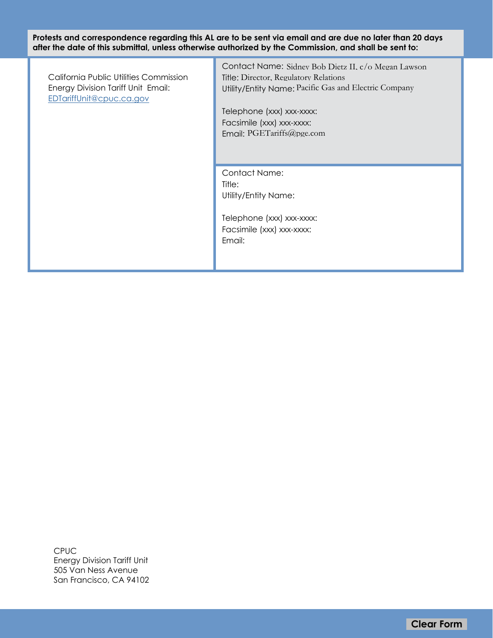**Protests and correspondence regarding this AL are to be sent via email and are due no later than 20 days after the date of this submittal, unless otherwise authorized by the Commission, and shall be sent to:**

California Public Utilities Commission Energy Division Tariff Unit Email: [EDTariffUnit@cpuc.ca.gov](mailto:EDTariffUnit%40cpuc.ca.gov?subject=)

Contact Name: Sidney Bob Dietz II. c/o Megan Lawson Title: Director, Regulatory Relations Utility/Entity Name: Pacific Gas and Electric Company **Clear Form**<br>
Clear Form Pacific Gas and Electric Company<br>
Fricty, Nemet, Pacific Gas and Electric Company<br> **Clear Form**<br> **Clear Form**<br> **Clear Form**<br>
Clear Form<br>
Clear Form<br>
Clear Form<br>
Clear Form<br>
Clear Form<br>
Clear Form

Telephone (xxx) xxx-xxxx: Facsimile (xxx) xxx-xxxx: Email: PGETariffs@pge.com

Contact Name: Title: Utility/Entity Name:

Telephone (xxx) xxx-xxxx: Facsimile (xxx) xxx-xxxx: Email:

CPUC Energy Division Tariff Unit 505 Van Ness Avenue San Francisco, CA 94102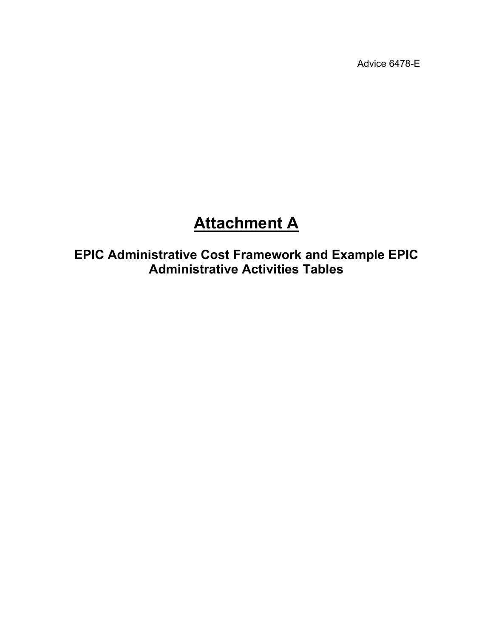Advice 6478-E

# **Attachment A**

**EPIC Administrative Cost Framework and Example EPIC Administrative Activities Tables**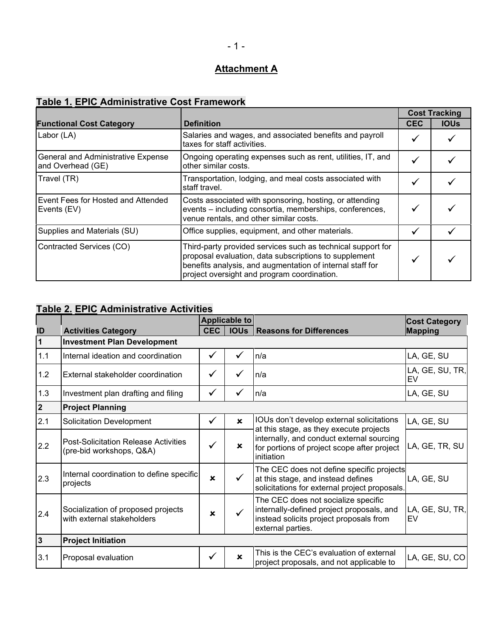# **Attachment A**

# **Table 1. EPIC Administrative Cost Framework**

|                                                          |                                                                                                                                                                                                                                  |              | <b>Cost Tracking</b> |
|----------------------------------------------------------|----------------------------------------------------------------------------------------------------------------------------------------------------------------------------------------------------------------------------------|--------------|----------------------|
| <b>Functional Cost Category</b>                          | <b>Definition</b>                                                                                                                                                                                                                | <b>CEC</b>   | <b>IOUs</b>          |
| Labor (LA)                                               | Salaries and wages, and associated benefits and payroll<br>taxes for staff activities.                                                                                                                                           |              |                      |
| General and Administrative Expense<br>and Overhead (GE)  | Ongoing operating expenses such as rent, utilities, IT, and<br>other similar costs.                                                                                                                                              |              |                      |
| Travel (TR)                                              | Transportation, lodging, and meal costs associated with<br>staff travel.                                                                                                                                                         | ✔            |                      |
| <b>Event Fees for Hosted and Attended</b><br>Events (EV) | Costs associated with sponsoring, hosting, or attending<br>events - including consortia, memberships, conferences,<br>venue rentals, and other similar costs.                                                                    |              |                      |
| Supplies and Materials (SU)                              | Office supplies, equipment, and other materials.                                                                                                                                                                                 |              |                      |
| Contracted Services (CO)                                 | Third-party provided services such as technical support for<br>proposal evaluation, data subscriptions to supplement<br>benefits analysis, and augmentation of internal staff for<br>project oversight and program coordination. | $\checkmark$ |                      |

# **Table 2. EPIC Administrative Activities**

|                         |                                                                         |                           | Applicable to |                                                                                                                                                  | <b>Cost Category</b>  |  |
|-------------------------|-------------------------------------------------------------------------|---------------------------|---------------|--------------------------------------------------------------------------------------------------------------------------------------------------|-----------------------|--|
| ID                      | <b>Activities Category</b>                                              | <b>CEC</b>                |               | <b>IOUs   Reasons for Differences</b>                                                                                                            | <b>Mapping</b>        |  |
| $\overline{\mathbf{1}}$ | <b>Investment Plan Development</b>                                      |                           |               |                                                                                                                                                  |                       |  |
| 1.1                     | Internal ideation and coordination                                      | ✓                         |               | n/a                                                                                                                                              | LA, GE, SU            |  |
| 1.2                     | External stakeholder coordination                                       | ✓                         |               | In/a                                                                                                                                             | LA, GE, SU, TR,<br>EV |  |
| 1.3                     | Investment plan drafting and filing                                     | ✔                         |               | In/a                                                                                                                                             | LA, GE, SU            |  |
| $\overline{2}$          | <b>Project Planning</b>                                                 |                           |               |                                                                                                                                                  |                       |  |
| 2.1                     | <b>Solicitation Development</b>                                         | ✓                         | $\mathbf x$   | IOUs don't develop external solicitations<br>at this stage, as they execute projects                                                             | LA, GE, SU            |  |
| 2.2                     | <b>Post-Solicitation Release Activities</b><br>(pre-bid workshops, Q&A) | ✓                         | $\mathbf x$   | internally, and conduct external sourcing<br>for portions of project scope after project<br>initiation                                           | LA, GE, TR, SU        |  |
| 2.3                     | Internal coordination to define specific<br>projects                    | $\mathbf x$               |               | The CEC does not define specific projects<br>at this stage, and instead defines<br>solicitations for external project proposals.                 | LA, GE, SU            |  |
| 2.4                     | Socialization of proposed projects<br>with external stakeholders        | $\boldsymbol{\mathsf{x}}$ |               | The CEC does not socialize specific<br>internally-defined project proposals, and<br>instead solicits project proposals from<br>external parties. | LA, GE, SU, TR,<br>EV |  |
| $\overline{\mathbf{3}}$ | <b>Project Initiation</b>                                               |                           |               |                                                                                                                                                  |                       |  |
| 3.1                     | Proposal evaluation                                                     |                           | $\mathbf x$   | This is the CEC's evaluation of external<br>project proposals, and not applicable to                                                             | LA, GE, SU, CO        |  |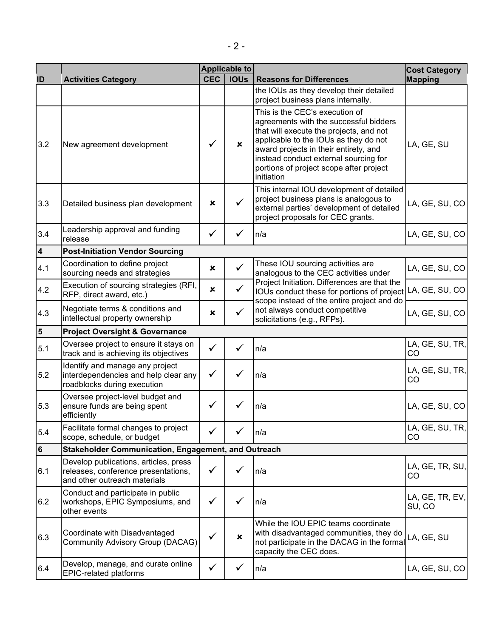|                         |                                                                                                              |              | <b>Applicable to</b>      |                                                                                                                                                                                                                                                                                                         | <b>Cost Category</b>      |
|-------------------------|--------------------------------------------------------------------------------------------------------------|--------------|---------------------------|---------------------------------------------------------------------------------------------------------------------------------------------------------------------------------------------------------------------------------------------------------------------------------------------------------|---------------------------|
| ID                      | <b>Activities Category</b>                                                                                   | <b>CEC</b>   | <b>IOUs</b>               | <b>Reasons for Differences</b>                                                                                                                                                                                                                                                                          | <b>Mapping</b>            |
|                         |                                                                                                              |              |                           | the IOUs as they develop their detailed<br>project business plans internally.                                                                                                                                                                                                                           |                           |
| 3.2                     | New agreement development                                                                                    | ✓            | $\mathbf x$               | This is the CEC's execution of<br>agreements with the successful bidders<br>that will execute the projects, and not<br>applicable to the IOUs as they do not<br>award projects in their entirety, and<br>instead conduct external sourcing for<br>portions of project scope after project<br>initiation | LA, GE, SU                |
| 3.3                     | Detailed business plan development                                                                           | ×            | $\checkmark$              | This internal IOU development of detailed<br>project business plans is analogous to<br>external parties' development of detailed<br>project proposals for CEC grants.                                                                                                                                   | LA, GE, SU, CO            |
| 3.4                     | Leadership approval and funding<br>release                                                                   | $\checkmark$ | ✓                         | n/a                                                                                                                                                                                                                                                                                                     | LA, GE, SU, CO            |
| $\overline{\mathbf{4}}$ | <b>Post-Initiation Vendor Sourcing</b>                                                                       |              |                           |                                                                                                                                                                                                                                                                                                         |                           |
| 4.1                     | Coordination to define project<br>sourcing needs and strategies                                              | ×            | $\checkmark$              | These IOU sourcing activities are<br>analogous to the CEC activities under                                                                                                                                                                                                                              | LA, GE, SU, CO            |
| 4.2                     | Execution of sourcing strategies (RFI,<br>RFP, direct award, etc.)                                           | ×            | $\checkmark$              | Project Initiation. Differences are that the<br>IOUs conduct these for portions of project<br>scope instead of the entire project and do                                                                                                                                                                | LA, GE, SU, CO            |
| 4.3                     | Negotiate terms & conditions and<br>intellectual property ownership                                          | ×            | ✓                         | not always conduct competitive<br>solicitations (e.g., RFPs).                                                                                                                                                                                                                                           | LA, GE, SU, CO            |
| $\overline{\mathbf{5}}$ | <b>Project Oversight &amp; Governance</b>                                                                    |              |                           |                                                                                                                                                                                                                                                                                                         |                           |
| 5.1                     | Oversee project to ensure it stays on<br>track and is achieving its objectives                               | ✓            |                           | n/a                                                                                                                                                                                                                                                                                                     | LA, GE, SU, TR,<br>CO     |
| 5.2                     | Identify and manage any project<br>interdependencies and help clear any<br>roadblocks during execution       | ✓            |                           | n/a                                                                                                                                                                                                                                                                                                     | LA, GE, SU, TR,<br>CO     |
| 5.3                     | Oversee project-level budget and<br>ensure funds are being spent<br>efficiently                              | ✓            |                           | n/a                                                                                                                                                                                                                                                                                                     | LA, GE, SU, CO            |
| 5.4                     | Facilitate formal changes to project<br>scope, schedule, or budget                                           |              |                           | n/a                                                                                                                                                                                                                                                                                                     | LA, GE, SU, TR,<br>CO     |
| $\bf 6$                 | <b>Stakeholder Communication, Engagement, and Outreach</b>                                                   |              |                           |                                                                                                                                                                                                                                                                                                         |                           |
| 6.1                     | Develop publications, articles, press<br>releases, conference presentations,<br>and other outreach materials | ✓            | ✓                         | n/a                                                                                                                                                                                                                                                                                                     | LA, GE, TR, SU,<br>CO     |
| 6.2                     | Conduct and participate in public<br>workshops, EPIC Symposiums, and<br>other events                         | $\checkmark$ | ✓                         | n/a                                                                                                                                                                                                                                                                                                     | LA, GE, TR, EV,<br>SU, CO |
| 6.3                     | Coordinate with Disadvantaged<br><b>Community Advisory Group (DACAG)</b>                                     | ✓            | $\boldsymbol{\mathsf{x}}$ | While the IOU EPIC teams coordinate<br>with disadvantaged communities, they do<br>not participate in the DACAG in the formal<br>capacity the CEC does.                                                                                                                                                  | LA, GE, SU                |
| 6.4                     | Develop, manage, and curate online<br><b>EPIC-related platforms</b>                                          | ✓            |                           | n/a                                                                                                                                                                                                                                                                                                     | LA, GE, SU, CO            |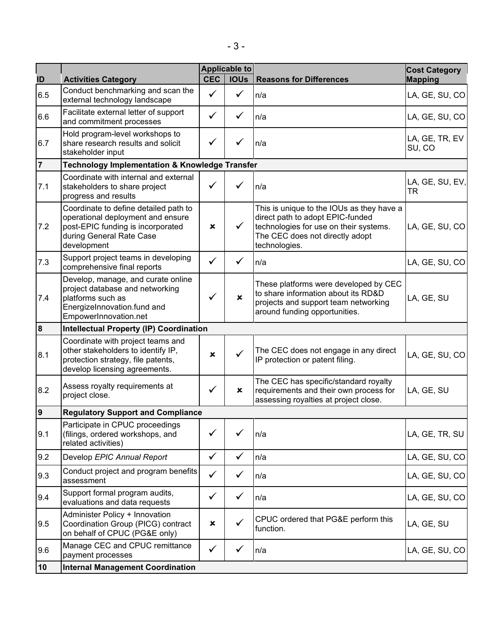| ID               | <b>Activities Category</b>                                                                                                                                 | <b>CEC</b>     | Applicable to<br><b>IOUs</b> | <b>Reasons for Differences</b>                                                                                                                                              | <b>Cost Category</b><br><b>Mapping</b> |
|------------------|------------------------------------------------------------------------------------------------------------------------------------------------------------|----------------|------------------------------|-----------------------------------------------------------------------------------------------------------------------------------------------------------------------------|----------------------------------------|
| 6.5              | Conduct benchmarking and scan the<br>external technology landscape                                                                                         | $\checkmark$   | ✓                            | n/a                                                                                                                                                                         | LA, GE, SU, CO                         |
| 6.6              | Facilitate external letter of support<br>and commitment processes                                                                                          | ✓              |                              | n/a                                                                                                                                                                         | LA, GE, SU, CO                         |
| 6.7              | Hold program-level workshops to<br>share research results and solicit<br>stakeholder input                                                                 | ✓              |                              | n/a                                                                                                                                                                         | LA, GE, TR, EV<br>SU, CO               |
| $\overline{7}$   | <b>Technology Implementation &amp; Knowledge Transfer</b>                                                                                                  |                |                              |                                                                                                                                                                             |                                        |
| 7.1              | Coordinate with internal and external<br>stakeholders to share project<br>progress and results                                                             | $\checkmark$   |                              | n/a                                                                                                                                                                         | LA, GE, SU, EV,<br><b>TR</b>           |
| 7.2              | Coordinate to define detailed path to<br>operational deployment and ensure<br>post-EPIC funding is incorporated<br>during General Rate Case<br>development | ×              | $\checkmark$                 | This is unique to the IOUs as they have a<br>direct path to adopt EPIC-funded<br>technologies for use on their systems.<br>The CEC does not directly adopt<br>technologies. | LA, GE, SU, CO                         |
| 7.3              | Support project teams in developing<br>comprehensive final reports                                                                                         | ✓              | ✓                            | n/a                                                                                                                                                                         | LA, GE, SU, CO                         |
| 7.4              | Develop, manage, and curate online<br>project database and networking<br>platforms such as<br>EnergizeInnovation.fund and<br>EmpowerInnovation.net         | ✓              | $\boldsymbol{\mathsf{x}}$    | These platforms were developed by CEC<br>to share information about its RD&D<br>projects and support team networking<br>around funding opportunities.                       | LA, GE, SU                             |
| $\boldsymbol{8}$ | <b>Intellectual Property (IP) Coordination</b>                                                                                                             |                |                              |                                                                                                                                                                             |                                        |
| 8.1              | Coordinate with project teams and<br>other stakeholders to identify IP,<br>protection strategy, file patents,<br>develop licensing agreements.             | $\mathbf x$    |                              | The CEC does not engage in any direct<br>IP protection or patent filing.                                                                                                    | LA, GE, SU, CO                         |
| 8.2              | Assess royalty requirements at<br>project close.                                                                                                           | ✓              | ×                            | The CEC has specific/standard royalty<br>requirements and their own process for<br>assessing royalties at project close.                                                    | LA, GE, SU                             |
| 9                | <b>Regulatory Support and Compliance</b>                                                                                                                   |                |                              |                                                                                                                                                                             |                                        |
| 9.1              | Participate in CPUC proceedings<br>(filings, ordered workshops, and<br>related activities)                                                                 | ✓              |                              | n/a                                                                                                                                                                         | LA, GE, TR, SU                         |
| 9.2              | Develop EPIC Annual Report                                                                                                                                 | $\checkmark$   | $\checkmark$                 | n/a                                                                                                                                                                         | LA, GE, SU, CO                         |
| 9.3              | Conduct project and program benefits<br>assessment                                                                                                         | $\checkmark$   | $\checkmark$                 | n/a                                                                                                                                                                         | LA, GE, SU, CO                         |
| 9.4              | Support formal program audits,<br>evaluations and data requests                                                                                            | $\checkmark$   | $\checkmark$                 | n/a                                                                                                                                                                         | LA, GE, SU, CO                         |
| 9.5              | Administer Policy + Innovation<br>Coordination Group (PICG) contract<br>on behalf of CPUC (PG&E only)                                                      | $\pmb{\times}$ | ✓                            | CPUC ordered that PG&E perform this<br>function.                                                                                                                            | LA, GE, SU                             |
| 9.6              | Manage CEC and CPUC remittance<br>payment processes                                                                                                        | $\checkmark$   | ✓                            | n/a                                                                                                                                                                         | LA, GE, SU, CO                         |
| 10               | <b>Internal Management Coordination</b>                                                                                                                    |                |                              |                                                                                                                                                                             |                                        |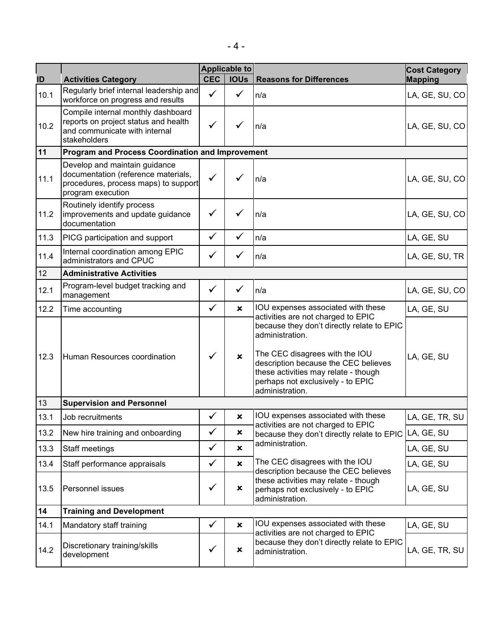|      |                                                                                                                                   |              | Applicable to             |                                                                                                                                                                                                                                         | <b>Cost Category</b> |  |  |
|------|-----------------------------------------------------------------------------------------------------------------------------------|--------------|---------------------------|-----------------------------------------------------------------------------------------------------------------------------------------------------------------------------------------------------------------------------------------|----------------------|--|--|
| ID   | <b>Activities Category</b>                                                                                                        | <b>CEC</b>   | <b>IOUs</b>               | <b>Reasons for Differences</b>                                                                                                                                                                                                          | <b>Mapping</b>       |  |  |
| 10.1 | Regularly brief internal leadership and<br>workforce on progress and results                                                      | $\checkmark$ | ✓                         | n/a                                                                                                                                                                                                                                     | LA, GE, SU, CO       |  |  |
| 10.2 | Compile internal monthly dashboard<br>reports on project status and health<br>and communicate with internal<br>stakeholders       | $\checkmark$ |                           | n/a                                                                                                                                                                                                                                     | LA, GE, SU, CO       |  |  |
| 11   | Program and Process Coordination and Improvement                                                                                  |              |                           |                                                                                                                                                                                                                                         |                      |  |  |
| 11.1 | Develop and maintain guidance<br>documentation (reference materials,<br>procedures, process maps) to support<br>program execution | $\checkmark$ |                           | n/a                                                                                                                                                                                                                                     | LA, GE, SU, CO       |  |  |
| 11.2 | Routinely identify process<br>improvements and update guidance<br>documentation                                                   | $\checkmark$ |                           | n/a                                                                                                                                                                                                                                     | LA, GE, SU, CO       |  |  |
| 11.3 | PICG participation and support                                                                                                    | $\checkmark$ | ✓                         | n/a                                                                                                                                                                                                                                     | LA, GE, SU           |  |  |
| 11.4 | Internal coordination among EPIC<br>administrators and CPUC                                                                       | $\checkmark$ | ✓                         | n/a                                                                                                                                                                                                                                     | LA, GE, SU, TR       |  |  |
| 12   | <b>Administrative Activities</b>                                                                                                  |              |                           |                                                                                                                                                                                                                                         |                      |  |  |
| 12.1 | Program-level budget tracking and<br>management                                                                                   | $\checkmark$ | ✓                         | n/a                                                                                                                                                                                                                                     | LA, GE, SU, CO       |  |  |
| 12.2 | Time accounting                                                                                                                   | $\checkmark$ | $\mathbf x$               | IOU expenses associated with these<br>activities are not charged to EPIC                                                                                                                                                                | LA, GE, SU           |  |  |
| 12.3 | Human Resources coordination                                                                                                      | $\checkmark$ | $\mathbf x$               | because they don't directly relate to EPIC<br>administration.<br>The CEC disagrees with the IOU<br>description because the CEC believes<br>these activities may relate - though<br>perhaps not exclusively - to EPIC<br>administration. | LA, GE, SU           |  |  |
| 13   | <b>Supervision and Personnel</b>                                                                                                  |              |                           |                                                                                                                                                                                                                                         |                      |  |  |
| 13.1 | Job recruitments                                                                                                                  | ✔            | $\pmb{\times}$            | IOU expenses associated with these<br>activities are not charged to EPIC                                                                                                                                                                | LA, GE, TR, SU       |  |  |
| 13.2 | New hire training and onboarding                                                                                                  | $\checkmark$ | $\pmb{\times}$            | because they don't directly relate to EPIC                                                                                                                                                                                              | LA, GE, SU           |  |  |
| 13.3 | Staff meetings                                                                                                                    | $\checkmark$ | $\boldsymbol{\mathsf{x}}$ | administration.                                                                                                                                                                                                                         | LA, GE, SU           |  |  |
| 13.4 | Staff performance appraisals                                                                                                      | $\checkmark$ | $\boldsymbol{\mathsf{x}}$ | The CEC disagrees with the IOU<br>description because the CEC believes                                                                                                                                                                  | LA, GE, SU           |  |  |
| 13.5 | Personnel issues                                                                                                                  | $\checkmark$ | ×                         | these activities may relate - though<br>perhaps not exclusively - to EPIC<br>administration.                                                                                                                                            | LA, GE, SU           |  |  |
| 14   | <b>Training and Development</b>                                                                                                   |              |                           |                                                                                                                                                                                                                                         |                      |  |  |
| 14.1 | Mandatory staff training                                                                                                          | $\checkmark$ | ×                         | IOU expenses associated with these                                                                                                                                                                                                      | LA, GE, SU           |  |  |
| 14.2 | Discretionary training/skills<br>development                                                                                      | ✓            | ×                         | activities are not charged to EPIC<br>because they don't directly relate to EPIC<br>administration.                                                                                                                                     | LA, GE, TR, SU       |  |  |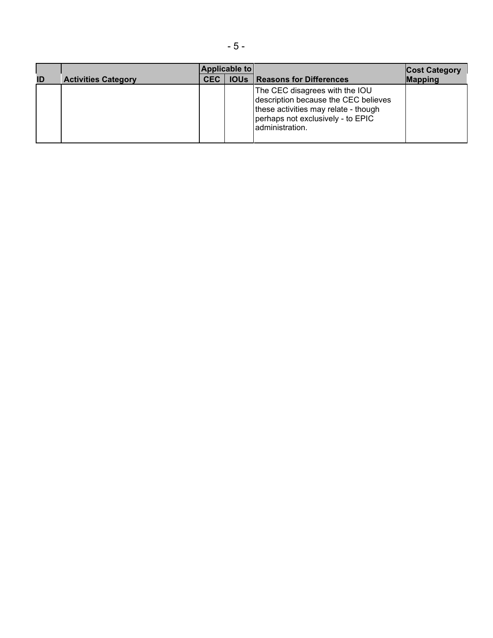|                            | <b>Applicable to</b> |  |                                                                                                                                                                        | <b>Cost Category</b> |
|----------------------------|----------------------|--|------------------------------------------------------------------------------------------------------------------------------------------------------------------------|----------------------|
| <b>Activities Category</b> | <b>CEC</b>           |  | <b>IOUs   Reasons for Differences</b>                                                                                                                                  | <b>Mapping</b>       |
|                            |                      |  | The CEC disagrees with the IOU<br>description because the CEC believes<br>these activities may relate - though<br>perhaps not exclusively - to EPIC<br>administration. |                      |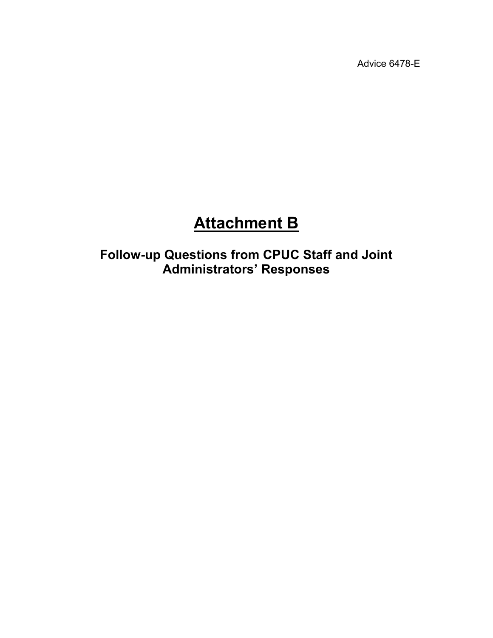Advice 6478-E

# **Attachment B**

**Follow-up Questions from CPUC Staff and Joint Administrators' Responses**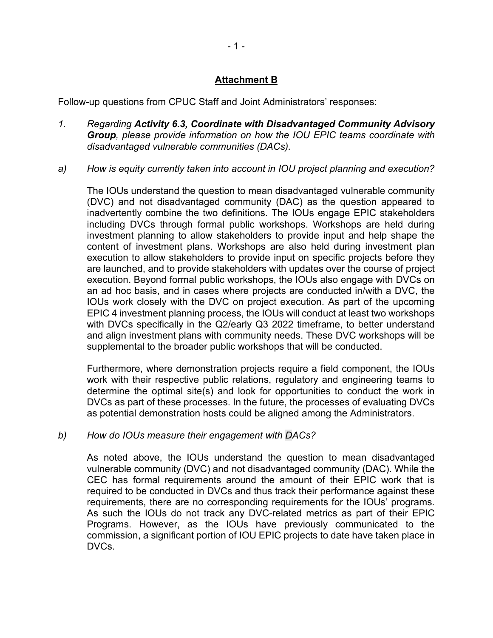## **Attachment B**

Follow-up questions from CPUC Staff and Joint Administrators' responses:

- *1. Regarding Activity 6.3, Coordinate with Disadvantaged Community Advisory Group, please provide information on how the IOU EPIC teams coordinate with disadvantaged vulnerable communities (DACs).*
- *a) How is equity currently taken into account in IOU project planning and execution?*

The IOUs understand the question to mean disadvantaged vulnerable community (DVC) and not disadvantaged community (DAC) as the question appeared to inadvertently combine the two definitions. The IOUs engage EPIC stakeholders including DVCs through formal public workshops. Workshops are held during investment planning to allow stakeholders to provide input and help shape the content of investment plans. Workshops are also held during investment plan execution to allow stakeholders to provide input on specific projects before they are launched, and to provide stakeholders with updates over the course of project execution. Beyond formal public workshops, the IOUs also engage with DVCs on an ad hoc basis, and in cases where projects are conducted in/with a DVC, the IOUs work closely with the DVC on project execution. As part of the upcoming EPIC 4 investment planning process, the IOUs will conduct at least two workshops with DVCs specifically in the Q2/early Q3 2022 timeframe, to better understand and align investment plans with community needs. These DVC workshops will be supplemental to the broader public workshops that will be conducted.

Furthermore, where demonstration projects require a field component, the IOUs work with their respective public relations, regulatory and engineering teams to determine the optimal site(s) and look for opportunities to conduct the work in DVCs as part of these processes. In the future, the processes of evaluating DVCs as potential demonstration hosts could be aligned among the Administrators.

#### *b) How do IOUs measure their engagement with DACs?*

As noted above, the IOUs understand the question to mean disadvantaged vulnerable community (DVC) and not disadvantaged community (DAC). While the CEC has formal requirements around the amount of their EPIC work that is required to be conducted in DVCs and thus track their performance against these requirements, there are no corresponding requirements for the IOUs' programs. As such the IOUs do not track any DVC-related metrics as part of their EPIC Programs. However, as the IOUs have previously communicated to the commission, a significant portion of IOU EPIC projects to date have taken place in DVCs.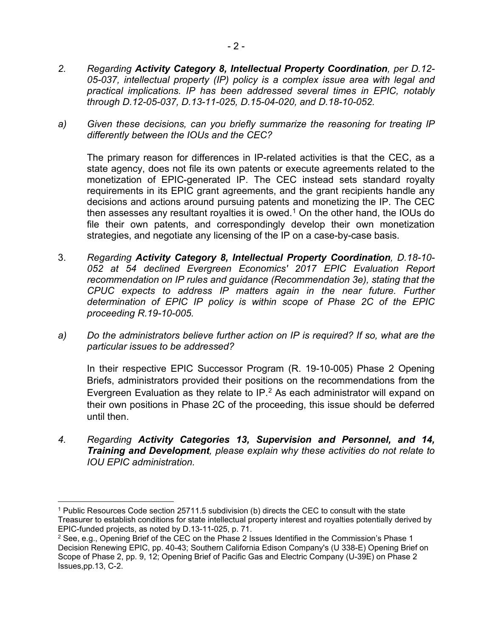*a) Given these decisions, can you briefly summarize the reasoning for treating IP differently between the IOUs and the CEC?*

The primary reason for differences in IP-related activities is that the CEC, as a state agency, does not file its own patents or execute agreements related to the monetization of EPIC-generated IP. The CEC instead sets standard royalty requirements in its EPIC grant agreements, and the grant recipients handle any decisions and actions around pursuing patents and monetizing the IP. The CEC then assesses any resultant royalties it is owed.<sup>[1](#page-16-0)</sup> On the other hand, the IOUs do file their own patents, and correspondingly develop their own monetization strategies, and negotiate any licensing of the IP on a case-by-case basis.

- 3. *Regarding Activity Category 8, Intellectual Property Coordination, D.18-10- 052 at 54 declined Evergreen Economics' 2017 EPIC Evaluation Report recommendation on IP rules and guidance (Recommendation 3e), stating that the CPUC expects to address IP matters again in the near future. Further determination of EPIC IP policy is within scope of Phase 2C of the EPIC proceeding R.19-10-005.*
- *a) Do the administrators believe further action on IP is required? If so, what are the particular issues to be addressed?*

In their respective EPIC Successor Program (R. 19-10-005) Phase 2 Opening Briefs, administrators provided their positions on the recommendations from the Evergreen Evaluation as they relate to IP. $<sup>2</sup>$  $<sup>2</sup>$  $<sup>2</sup>$  As each administrator will expand on</sup> their own positions in Phase 2C of the proceeding, this issue should be deferred until then.

*4. Regarding Activity Categories 13, Supervision and Personnel, and 14, Training and Development, please explain why these activities do not relate to IOU EPIC administration.*

*through D.12-05-037, D.13-11-025, D.15-04-020, and D.18-10-052.*

<span id="page-16-0"></span><sup>1</sup> Public Resources Code section 25711.5 subdivision (b) directs the CEC to consult with the state Treasurer to establish conditions for state intellectual property interest and royalties potentially derived by EPIC-funded projects, as noted by D.13-11-025, p. 71.

<span id="page-16-1"></span><sup>&</sup>lt;sup>2</sup> See, e.g., Opening Brief of the CEC on the Phase 2 Issues Identified in the Commission's Phase 1 Decision Renewing EPIC, pp. 40-43; Southern California Edison Company's (U 338-E) Opening Brief on Scope of Phase 2, pp. 9, 12; Opening Brief of Pacific Gas and Electric Company (U-39E) on Phase 2 Issues,pp.13, C-2.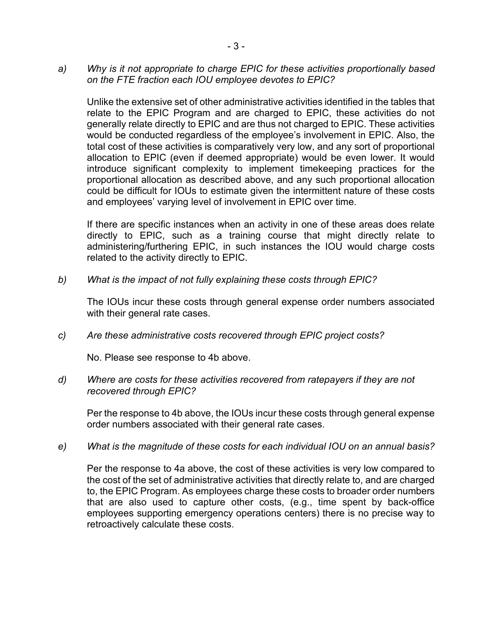*a) Why is it not appropriate to charge EPIC for these activities proportionally based on the FTE fraction each IOU employee devotes to EPIC?*

Unlike the extensive set of other administrative activities identified in the tables that relate to the EPIC Program and are charged to EPIC, these activities do not generally relate directly to EPIC and are thus not charged to EPIC. These activities would be conducted regardless of the employee's involvement in EPIC. Also, the total cost of these activities is comparatively very low, and any sort of proportional allocation to EPIC (even if deemed appropriate) would be even lower. It would introduce significant complexity to implement timekeeping practices for the proportional allocation as described above, and any such proportional allocation could be difficult for IOUs to estimate given the intermittent nature of these costs and employees' varying level of involvement in EPIC over time.

If there are specific instances when an activity in one of these areas does relate directly to EPIC, such as a training course that might directly relate to administering/furthering EPIC, in such instances the IOU would charge costs related to the activity directly to EPIC.

*b) What is the impact of not fully explaining these costs through EPIC?*

The IOUs incur these costs through general expense order numbers associated with their general rate cases.

*c) Are these administrative costs recovered through EPIC project costs?*

No. Please see response to 4b above.

*d) Where are costs for these activities recovered from ratepayers if they are not recovered through EPIC?*

Per the response to 4b above, the IOUs incur these costs through general expense order numbers associated with their general rate cases.

*e) What is the magnitude of these costs for each individual IOU on an annual basis?*

Per the response to 4a above, the cost of these activities is very low compared to the cost of the set of administrative activities that directly relate to, and are charged to, the EPIC Program. As employees charge these costs to broader order numbers that are also used to capture other costs, (e.g., time spent by back-office employees supporting emergency operations centers) there is no precise way to retroactively calculate these costs.